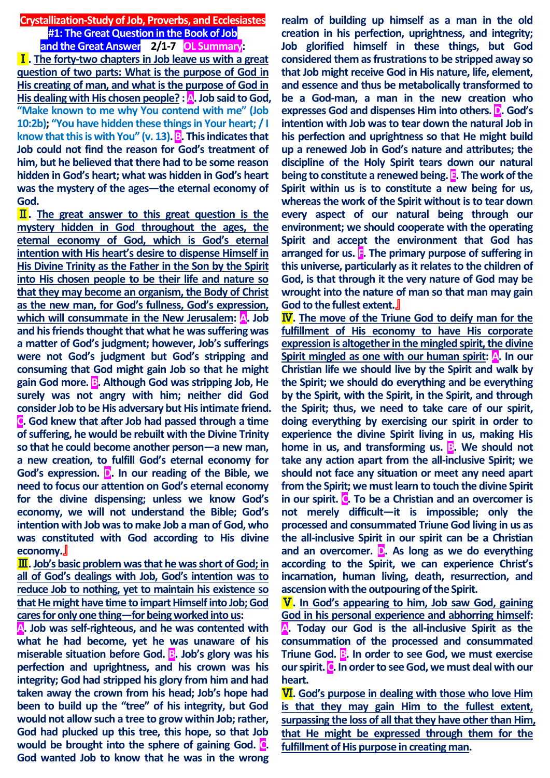**Crystallization-Study of Job, Proverbs, and Ecclesiastes #1: The Great Question in the Book of Job and the Great Answer 2/1-7 OL Summary:**

Ⅰ**. The forty-two chapters in Job leave us with a great question of two parts: What is the purpose of God in His creating of man, and what is the purpose of God in His dealing with His chosen people? : A. Job said to God, "Make known to me why You contend with me" (Job 10:2b); "You have hidden these things in Your heart; / I know that this is with You" (v. 13). B. This indicates that Job could not find the reason for God's treatment of him, but he believed that there had to be some reason hidden in God's heart; what was hidden in God's heart was the mystery of the ages—the eternal economy of God.**

Ⅱ**. The great answer to this great question is the mystery hidden in God throughout the ages, the eternal economy of God, which is God's eternal intention with His heart's desire to dispense Himself in His Divine Trinity as the Father in the Son by the Spirit into His chosen people to be their life and nature so that they may become an organism, the Body of Christ as the new man, for God's fullness, God's expression,**  which will consummate in the New Jerusalem: A. Job **and his friends thought that what he was suffering was a matter of God's judgment; however, Job's sufferings were not God's judgment but God's stripping and consuming that God might gain Job so that he might gain God more. B. Although God was stripping Job, He surely was not angry with him; neither did God consider Job to be His adversary but His intimate friend. C. God knew that after Job had passed through a time of suffering, he would be rebuilt with the Divine Trinity so that he could become another person—a new man, a new creation, to fulfill God's eternal economy for God's expression. D. In our reading of the Bible, we need to focus our attention on God's eternal economy for the divine dispensing; unless we know God's economy, we will not understand the Bible; God's intention with Job was to make Job a man of God, who was constituted with God according to His divine economy.**』

Ⅲ**. Job's basic problem was that he was short of God; in all of God's dealings with Job, God's intention was to reduce Job to nothing, yet to maintain his existence so that He might have time to impart Himself into Job; God cares for only one thing—for being worked into us:**

**A. Job was self-righteous, and he was contented with what he had become, yet he was unaware of his miserable situation before God. B. Job's glory was his perfection and uprightness, and his crown was his integrity; God had stripped his glory from him and had taken away the crown from his head; Job's hope had been to build up the "tree" of his integrity, but God would not allow such a tree to grow within Job; rather, God had plucked up this tree, this hope, so that Job would be brought into the sphere of gaining God. C. God wanted Job to know that he was in the wrong** 

**realm of building up himself as a man in the old creation in his perfection, uprightness, and integrity; Job glorified himself in these things, but God considered them as frustrations to be stripped away so that Job might receive God in His nature, life, element, and essence and thus be metabolically transformed to be a God-man, a man in the new creation who expresses God and dispenses Him into others. D. God's intention with Job was to tear down the natural Job in his perfection and uprightness so that He might build up a renewed Job in God's nature and attributes; the discipline of the Holy Spirit tears down our natural being to constitute a renewed being. E. The work of the Spirit within us is to constitute a new being for us, whereas the work of the Spirit without is to tear down every aspect of our natural being through our environment; we should cooperate with the operating Spirit and accept the environment that God has arranged for us. F. The primary purpose of suffering in this universe, particularly as it relates to the children of God, is that through it the very nature of God may be wrought into the nature of man so that man may gain God to the fullest extent.**』

Ⅳ**. The move of the Triune God to deify man for the fulfillment of His economy to have His corporate expression is altogether in the mingled spirit, the divine Spirit mingled as one with our human spirit: A. In our Christian life we should live by the Spirit and walk by the Spirit; we should do everything and be everything by the Spirit, with the Spirit, in the Spirit, and through the Spirit; thus, we need to take care of our spirit, doing everything by exercising our spirit in order to experience the divine Spirit living in us, making His home in us, and transforming us. B. We should not take any action apart from the all-inclusive Spirit; we should not face any situation or meet any need apart from the Spirit; we must learn to touch the divine Spirit in our spirit. C. To be a Christian and an overcomer is not merely difficult—it is impossible; only the processed and consummated Triune God living in us as the all-inclusive Spirit in our spirit can be a Christian and an overcomer. D. As long as we do everything according to the Spirit, we can experience Christ's incarnation, human living, death, resurrection, and ascension with the outpouring of the Spirit.**

Ⅴ**. In God's appearing to him, Job saw God, gaining God in his personal experience and abhorring himself: A. Today our God is the all-inclusive Spirit as the consummation of the processed and consummated Triune God. B. In order to see God, we must exercise our spirit. C. In order to see God, we must deal with our heart.**

Ⅵ**. God's purpose in dealing with those who love Him is that they may gain Him to the fullest extent, surpassing the loss of all that they have other than Him, that He might be expressed through them for the fulfillment of His purpose in creating man.**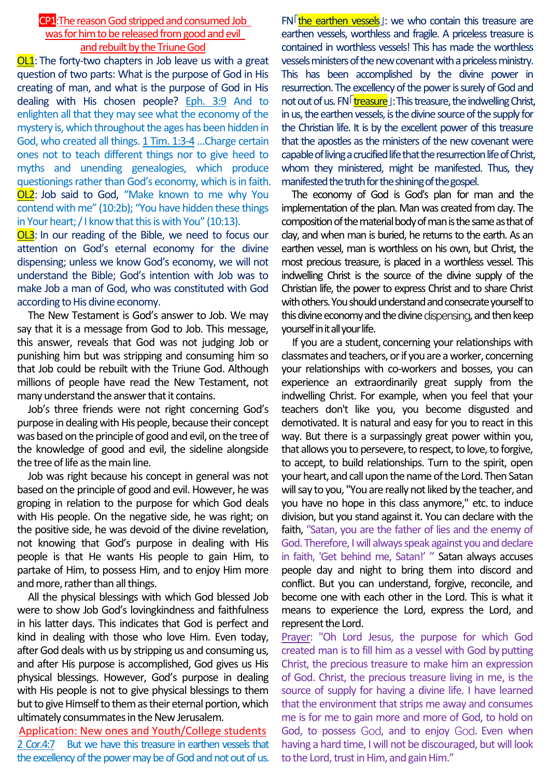## CP1:The reason God stripped and consumed Job was for him to be released from good and evil and rebuilt by the Triune God

OL1: The forty-two chapters in Job leave us with a great question of two parts: What is the purpose of God in His creating of man, and what is the purpose of God in His dealing with His chosen people? Eph. 3:9 And to enlighten all that they may see what the economy of the mystery is, which throughout the ages has been hidden in God, who created all things. 1 Tim. 1:3-4…Charge certain ones not to teach different things nor to give heed to myths and unending genealogies, which produce questionings rather than God's economy, which is in faith. **OL2**: Job said to God, "Make known to me why You contend with me" (10:2b); "You have hidden these things in Your heart; / I know that this is with You" (10:13).

OL3: In our reading of the Bible, we need to focus our attention on God's eternal economy for the divine dispensing; unless we know God's economy, we will not understand the Bible; God's intention with Job was to make Job a man of God, who was constituted with God according to His divine economy.

The New Testament is God's answer to Job. We may say that it is a message from God to Job. This message, this answer, reveals that God was not judging Job or punishing him but was stripping and consuming him so that Job could be rebuilt with the Triune God. Although millions of people have read the New Testament, not many understand the answer that it contains.

Job's three friends were not right concerning God's purpose in dealing with His people, because their concept was based on the principle of good and evil, on the tree of the knowledge of good and evil, the sideline alongside the tree of life as the main line.

Job was right because his concept in general was not based on the principle of good and evil. However, he was groping in relation to the purpose for which God deals with His people. On the negative side, he was right; on the positive side, he was devoid of the divine revelation, not knowing that God's purpose in dealing with His people is that He wants His people to gain Him, to partake of Him, to possess Him, and to enjoy Him more and more, rather than all things.

All the physical blessings with which God blessed Job were to show Job God's lovingkindness and faithfulness in his latter days. This indicates that God is perfect and kind in dealing with those who love Him. Even today, after God deals with us by stripping us and consuming us, and after His purpose is accomplished, God gives us His physical blessings. However, God's purpose in dealing with His people is not to give physical blessings to them but to give Himself to them as their eternal portion, which ultimately consummates in the New Jerusalem.

Application: New ones and Youth/College students 2 Cor.4:7 But we have this treasure in earthen vessels that the excellency of the power may be of God and not out of us.

 $FN$  the earthen vessels<sup>1</sup>: we who contain this treasure are earthen vessels, worthless and fragile. A priceless treasure is contained in worthless vessels! This has made the worthless vessels ministers of the new covenant with a priceless ministry. This has been accomplished by the divine power in resurrection. The excellency of the power is surely of God and not out of us. FN<sup>[treasure</sup>]: This treasure, the indwelling Christ, in us, the earthen vessels, is the divine source of the supply for the Christian life. It is by the excellent power of this treasure that the apostles as the ministers of the new covenant were capable of living a crucified life that the resurrection life of Christ, whom they ministered, might be manifested. Thus, they manifested the truth for the shining of the gospel.

The economy of God is God's plan for man and the implementation of the plan. Man was created from clay. The composition of the material body of man is the same as that of clay, and when man is buried, he returns to the earth. As an earthen vessel, man is worthless on his own, but Christ, the most precious treasure, is placed in a worthless vessel. This indwelling Christ is the source of the divine supply of the Christian life, the power to express Christ and to share Christ with others. You should understand and consecrate yourself to this divine economy and the divine dispensing, and then keep yourself in it all your life.

If you are a student, concerning your relationships with classmates and teachers, or if you are a worker, concerning your relationships with co-workers and bosses, you can experience an extraordinarily great supply from the indwelling Christ. For example, when you feel that your teachers don't like you, you become disgusted and demotivated. It is natural and easy for you to react in this way. But there is a surpassingly great power within you, that allows you to persevere, to respect, to love, to forgive, to accept, to build relationships. Turn to the spirit, open your heart, and call upon the name of the Lord. Then Satan will say to you, "You are really not liked by the teacher, and you have no hope in this class anymore," etc. to induce division, but you stand against it. You can declare with the faith, "Satan, you are the father of lies and the enemy of God. Therefore, I will always speak against you and declare in faith, 'Get behind me, Satan!' " Satan always accuses people day and night to bring them into discord and conflict. But you can understand, forgive, reconcile, and become one with each other in the Lord. This is what it means to experience the Lord, express the Lord, and represent the Lord.

Prayer: "Oh Lord Jesus, the purpose for which God created man is to fill him as a vessel with God by putting Christ, the precious treasure to make him an expression of God. Christ, the precious treasure living in me, is the source of supply for having a divine life. I have learned that the environment that strips me away and consumes me is for me to gain more and more of God, to hold on God, to possess God, and to enjoy God. Even when having a hard time, I will not be discouraged, but will look to the Lord, trust in Him, and gain Him."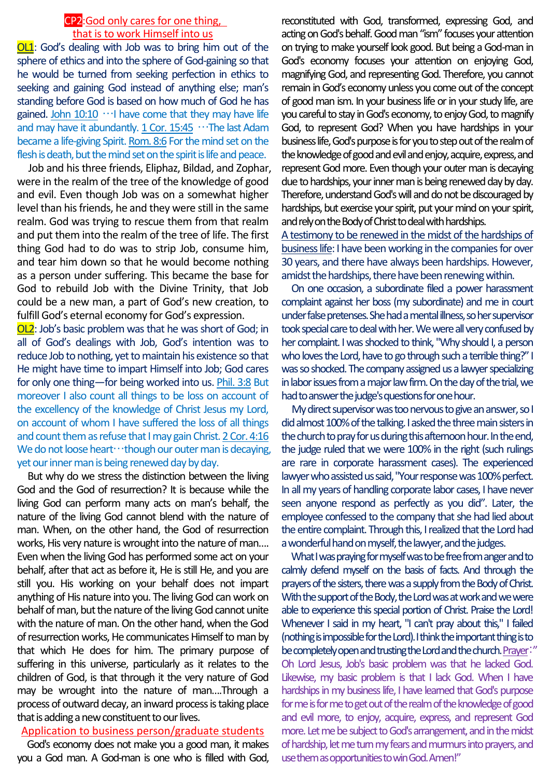# CP2:God only cares for one thing, that is to work Himself into us

OL1: God's dealing with Job was to bring him out of the sphere of ethics and into the sphere of God-gaining so that he would be turned from seeking perfection in ethics to seeking and gaining God instead of anything else; man's standing before God is based on how much of God he has gained. John  $10:10 \cdots$  have come that they may have life and may have it abundantly. 1 Cor. 15:45 …The last Adam became a life-giving Spirit. Rom. 8:6 For the mind set on the flesh is death, but the mind set on the spirit is life and peace.

Job and his three friends, Eliphaz, Bildad, and Zophar, were in the realm of the tree of the knowledge of good and evil. Even though Job was on a somewhat higher level than his friends, he and they were still in the same realm. God was trying to rescue them from that realm and put them into the realm of the tree of life. The first thing God had to do was to strip Job, consume him, and tear him down so that he would become nothing as a person under suffering. This became the base for God to rebuild Job with the Divine Trinity, that Job could be a new man, a part of God's new creation, to fulfill God's eternal economy for God's expression.

OL2: Job's basic problem was that he was short of God; in all of God's dealings with Job, God's intention was to reduce Job to nothing, yet to maintain his existence so that He might have time to impart Himself into Job; God cares for only one thing—for being worked into us. Phil. 3:8 But moreover I also count all things to be loss on account of the excellency of the knowledge of Christ Jesus my Lord, on account of whom I have suffered the loss of all things and count them as refuse that I may gain Christ.2 Cor. 4:16 We do not loose heart…though our outer man is decaying, yet our inner man is being renewed day by day.

But why do we stress the distinction between the living God and the God of resurrection? It is because while the living God can perform many acts on man's behalf, the nature of the living God cannot blend with the nature of man. When, on the other hand, the God of resurrection works, His very nature is wrought into the nature of man…. Even when the living God has performed some act on your behalf, after that act as before it, He is still He, and you are still you. His working on your behalf does not impart anything of His nature into you. The living God can work on behalf of man, but the nature of the living God cannot unite with the nature of man. On the other hand, when the God of resurrection works, He communicates Himself to man by that which He does for him. The primary purpose of suffering in this universe, particularly as it relates to the children of God, is that through it the very nature of God may be wrought into the nature of man….Through a process of outward decay, an inward process is taking place that is adding a new constituent to our lives.

#### Application to business person/graduate students

God's economy does not make you a good man, it makes you a God man. A God-man is one who is filled with God,

reconstituted with God, transformed, expressing God, and acting on God's behalf. Good man "ism" focuses your attention on trying to make yourself look good. But being a God-man in God's economy focuses your attention on enjoying God, magnifying God, and representing God. Therefore, you cannot remain in God's economy unless you come out of the concept of good man ism. In your business life or in your study life, are you careful to stay in God's economy, to enjoy God, to magnify God, to represent God? When you have hardships in your business life, God's purpose is for you to step out of the realm of the knowledge of good and evil and enjoy, acquire, express, and represent Godmore. Even though your outer man is decaying due to hardships, your inner man is being renewed day by day. Therefore, understand God's will and do not be discouraged by hardships, but exercise your spirit, put your mind on your spirit, and rely on the Body of Christ to deal with hardships.

A testimony to be renewed in the midst of the hardships of business life: I have been working in the companies for over 30 years, and there have always been hardships. However, amidst the hardships, there have been renewing within.

On one occasion, a subordinate filed a power harassment complaint against her boss (my subordinate) and me in court under false pretenses. She had a mental illness, so her supervisor took special care to deal with her. We were all very confused by her complaint. I was shocked to think, "Why should I, a person who loves the Lord, have to go through such a terrible thing?" I was so shocked. The company assigned us a lawyer specializing in labor issues from a major law firm. On the day of the trial, we had to answer the judge's questions for one hour.

My direct supervisor was too nervous to give an answer, so I did almost 100% of the talking. I asked the three main sisters in the church to pray for us during this afternoon hour. In the end, the judge ruled that we were 100% in the right (such rulings are rare in corporate harassment cases). The experienced lawyer who assisted us said, "Your response was 100% perfect. In all my years of handling corporate labor cases, I have never seen anyone respond as perfectly as you did". Later, the employee confessed to the company that she had lied about the entire complaint. Through this, I realized that the Lord had a wonderful hand on myself, the lawyer, and the judges.

What I was praying for myself was to be free from anger and to calmly defend myself on the basis of facts. And through the prayers of the sisters, there was a supply from the Body of Christ. With the support of the Body, the Lord was at work and we were able to experience this special portion of Christ. Praise the Lord! Whenever I said in my heart, "I can't pray about this," I failed (nothing is impossible for the Lord). I think the important thing is to be completely open and trusting the Lord and the church. Prayer:" Oh Lord Jesus, Job's basic problem was that he lacked God. Likewise, my basic problem is that I lack God. When I have hardships in my business life, I have learned that God's purpose for me is for me to get out of the realm of the knowledge of good and evil more, to enjoy, acquire, express, and represent God more. Let me be subject to God's arrangement, and in the midst of hardship, let me turn my fears and murmurs into prayers, and use them as opportunities to win God. Amen!"